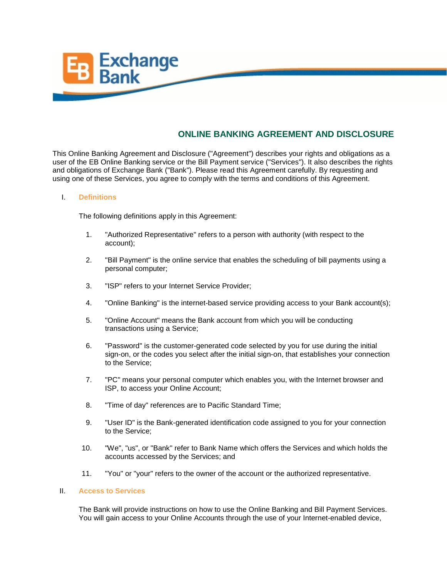

# **ONLINE BANKING AGREEMENT AND DISCLOSURE**

This Online Banking Agreement and Disclosure ("Agreement") describes your rights and obligations as a user of the EB Online Banking service or the Bill Payment service ("Services"). It also describes the rights and obligations of Exchange Bank ("Bank"). Please read this Agreement carefully. By requesting and using one of these Services, you agree to comply with the terms and conditions of this Agreement.

#### I. **Definitions**

The following definitions apply in this Agreement:

- 1. "Authorized Representative" refers to a person with authority (with respect to the account);
- 2. "Bill Payment" is the online service that enables the scheduling of bill payments using a personal computer;
- 3. "ISP" refers to your Internet Service Provider;
- 4. "Online Banking" is the internet-based service providing access to your Bank account(s);
- 5. "Online Account" means the Bank account from which you will be conducting transactions using a Service;
- 6. "Password" is the customer-generated code selected by you for use during the initial sign-on, or the codes you select after the initial sign-on, that establishes your connection to the Service;
- 7. "PC" means your personal computer which enables you, with the Internet browser and ISP, to access your Online Account;
- 8. "Time of day" references are to Pacific Standard Time;
- 9. "User ID" is the Bank-generated identification code assigned to you for your connection to the Service;
- 10. "We", "us", or "Bank" refer to Bank Name which offers the Services and which holds the accounts accessed by the Services; and
- 11. "You" or "your" refers to the owner of the account or the authorized representative.

#### II. **Access to Services**

The Bank will provide instructions on how to use the Online Banking and Bill Payment Services. You will gain access to your Online Accounts through the use of your Internet-enabled device,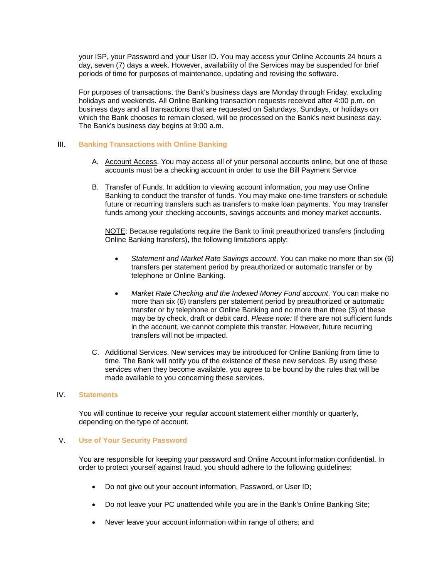your ISP, your Password and your User ID. You may access your Online Accounts 24 hours a day, seven (7) days a week. However, availability of the Services may be suspended for brief periods of time for purposes of maintenance, updating and revising the software.

For purposes of transactions, the Bank's business days are Monday through Friday, excluding holidays and weekends. All Online Banking transaction requests received after 4:00 p.m. on business days and all transactions that are requested on Saturdays, Sundays, or holidays on which the Bank chooses to remain closed, will be processed on the Bank's next business day. The Bank's business day begins at 9:00 a.m.

## III. **Banking Transactions with Online Banking**

- A. Account Access. You may access all of your personal accounts online, but one of these accounts must be a checking account in order to use the Bill Payment Service
- B. Transfer of Funds. In addition to viewing account information, you may use Online Banking to conduct the transfer of funds. You may make one-time transfers or schedule future or recurring transfers such as transfers to make loan payments. You may transfer funds among your checking accounts, savings accounts and money market accounts.

NOTE: Because regulations require the Bank to limit preauthorized transfers (including Online Banking transfers), the following limitations apply:

- *Statement and Market Rate Savings account*. You can make no more than six (6) transfers per statement period by preauthorized or automatic transfer or by telephone or Online Banking.
- *Market Rate Checking and the Indexed Money Fund account*. You can make no more than six (6) transfers per statement period by preauthorized or automatic transfer or by telephone or Online Banking and no more than three (3) of these may be by check, draft or debit card. *Please note:* If there are not sufficient funds in the account, we cannot complete this transfer. However, future recurring transfers will not be impacted.
- C. Additional Services. New services may be introduced for Online Banking from time to time. The Bank will notify you of the existence of these new services. By using these services when they become available, you agree to be bound by the rules that will be made available to you concerning these services.

## IV. **Statements**

You will continue to receive your regular account statement either monthly or quarterly, depending on the type of account.

## V. **Use of Your Security Password**

You are responsible for keeping your password and Online Account information confidential. In order to protect yourself against fraud, you should adhere to the following guidelines:

- Do not give out your account information, Password, or User ID;
- Do not leave your PC unattended while you are in the Bank's Online Banking Site;
- Never leave your account information within range of others; and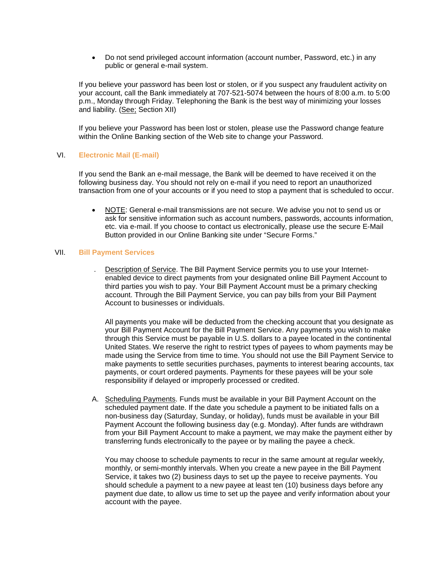• Do not send privileged account information (account number, Password, etc.) in any public or general e-mail system.

If you believe your password has been lost or stolen, or if you suspect any fraudulent activity on your account, call the Bank immediately at 707-521-5074 between the hours of 8:00 a.m. to 5:00 p.m., Monday through Friday. Telephoning the Bank is the best way of minimizing your losses and liability. (See; Section XII)

If you believe your Password has been lost or stolen, please use the Password change feature within the Online Banking section of the Web site to change your Password.

#### VI. **Electronic Mail (E-mail)**

If you send the Bank an e-mail message, the Bank will be deemed to have received it on the following business day. You should not rely on e-mail if you need to report an unauthorized transaction from one of your accounts or if you need to stop a payment that is scheduled to occur.

• NOTE: General e-mail transmissions are not secure. We advise you not to send us or ask for sensitive information such as account numbers, passwords, accounts information, etc. via e-mail. If you choose to contact us electronically, please use the secure E-Mail Button provided in our Online Banking site under "Secure Forms."

#### VII. **Bill Payment Services**

Description of Service. The Bill Payment Service permits you to use your Internetenabled device to direct payments from your designated online Bill Payment Account to third parties you wish to pay. Your Bill Payment Account must be a primary checking account. Through the Bill Payment Service, you can pay bills from your Bill Payment Account to businesses or individuals.

All payments you make will be deducted from the checking account that you designate as your Bill Payment Account for the Bill Payment Service. Any payments you wish to make through this Service must be payable in U.S. dollars to a payee located in the continental United States. We reserve the right to restrict types of payees to whom payments may be made using the Service from time to time. You should not use the Bill Payment Service to make payments to settle securities purchases, payments to interest bearing accounts, tax payments, or court ordered payments. Payments for these payees will be your sole responsibility if delayed or improperly processed or credited.

A. Scheduling Payments. Funds must be available in your Bill Payment Account on the scheduled payment date. If the date you schedule a payment to be initiated falls on a non-business day (Saturday, Sunday, or holiday), funds must be available in your Bill Payment Account the following business day (e.g. Monday). After funds are withdrawn from your Bill Payment Account to make a payment, we may make the payment either by transferring funds electronically to the payee or by mailing the payee a check.

You may choose to schedule payments to recur in the same amount at regular weekly, monthly, or semi-monthly intervals. When you create a new payee in the Bill Payment Service, it takes two (2) business days to set up the payee to receive payments. You should schedule a payment to a new payee at least ten (10) business days before any payment due date, to allow us time to set up the payee and verify information about your account with the payee.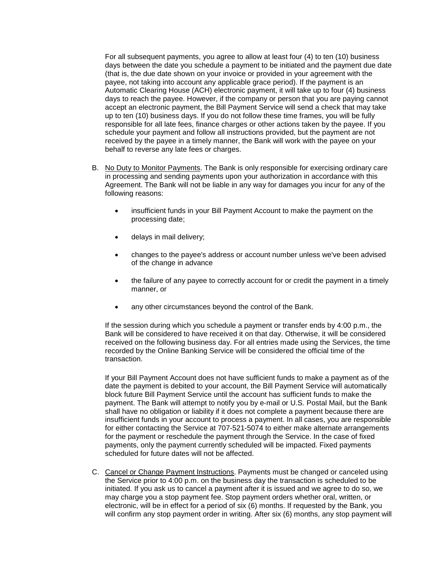For all subsequent payments, you agree to allow at least four (4) to ten (10) business days between the date you schedule a payment to be initiated and the payment due date (that is, the due date shown on your invoice or provided in your agreement with the payee, not taking into account any applicable grace period). If the payment is an Automatic Clearing House (ACH) electronic payment, it will take up to four (4) business days to reach the payee. However, if the company or person that you are paying cannot accept an electronic payment, the Bill Payment Service will send a check that may take up to ten (10) business days. If you do not follow these time frames, you will be fully responsible for all late fees, finance charges or other actions taken by the payee. If you schedule your payment and follow all instructions provided, but the payment are not received by the payee in a timely manner, the Bank will work with the payee on your behalf to reverse any late fees or charges.

- B. No Duty to Monitor Payments. The Bank is only responsible for exercising ordinary care in processing and sending payments upon your authorization in accordance with this Agreement. The Bank will not be liable in any way for damages you incur for any of the following reasons:
	- insufficient funds in your Bill Payment Account to make the payment on the processing date;
	- delays in mail delivery;
	- changes to the payee's address or account number unless we've been advised of the change in advance
	- the failure of any payee to correctly account for or credit the payment in a timely manner, or
	- any other circumstances beyond the control of the Bank.

If the session during which you schedule a payment or transfer ends by 4:00 p.m., the Bank will be considered to have received it on that day. Otherwise, it will be considered received on the following business day. For all entries made using the Services, the time recorded by the Online Banking Service will be considered the official time of the transaction.

If your Bill Payment Account does not have sufficient funds to make a payment as of the date the payment is debited to your account, the Bill Payment Service will automatically block future Bill Payment Service until the account has sufficient funds to make the payment. The Bank will attempt to notify you by e-mail or U.S. Postal Mail, but the Bank shall have no obligation or liability if it does not complete a payment because there are insufficient funds in your account to process a payment. In all cases, you are responsible for either contacting the Service at 707-521-5074 to either make alternate arrangements for the payment or reschedule the payment through the Service. In the case of fixed payments, only the payment currently scheduled will be impacted. Fixed payments scheduled for future dates will not be affected.

C. Cancel or Change Payment Instructions. Payments must be changed or canceled using the Service prior to 4:00 p.m. on the business day the transaction is scheduled to be initiated. If you ask us to cancel a payment after it is issued and we agree to do so, we may charge you a stop payment fee. Stop payment orders whether oral, written, or electronic, will be in effect for a period of six (6) months. If requested by the Bank, you will confirm any stop payment order in writing. After six (6) months, any stop payment will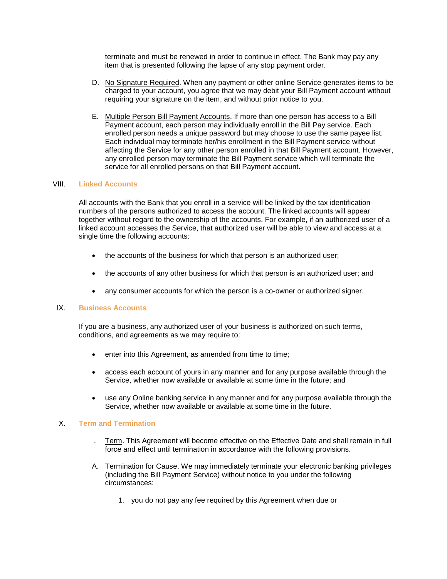terminate and must be renewed in order to continue in effect. The Bank may pay any item that is presented following the lapse of any stop payment order.

- D. No Signature Required. When any payment or other online Service generates items to be charged to your account, you agree that we may debit your Bill Payment account without requiring your signature on the item, and without prior notice to you.
- E. Multiple Person Bill Payment Accounts. If more than one person has access to a Bill Payment account, each person may individually enroll in the Bill Pay service. Each enrolled person needs a unique password but may choose to use the same payee list. Each individual may terminate her/his enrollment in the Bill Payment service without affecting the Service for any other person enrolled in that Bill Payment account. However, any enrolled person may terminate the Bill Payment service which will terminate the service for all enrolled persons on that Bill Payment account.

## VIII. **Linked Accounts**

All accounts with the Bank that you enroll in a service will be linked by the tax identification numbers of the persons authorized to access the account. The linked accounts will appear together without regard to the ownership of the accounts. For example, if an authorized user of a linked account accesses the Service, that authorized user will be able to view and access at a single time the following accounts:

- the accounts of the business for which that person is an authorized user;
- the accounts of any other business for which that person is an authorized user; and
- any consumer accounts for which the person is a co-owner or authorized signer.

## IX. **Business Accounts**

If you are a business, any authorized user of your business is authorized on such terms, conditions, and agreements as we may require to:

- enter into this Agreement, as amended from time to time;
- access each account of yours in any manner and for any purpose available through the Service, whether now available or available at some time in the future; and
- use any Online banking service in any manner and for any purpose available through the Service, whether now available or available at some time in the future.

# X. **Term and Termination**

- . Term. This Agreement will become effective on the Effective Date and shall remain in full force and effect until termination in accordance with the following provisions.
- A. Termination for Cause. We may immediately terminate your electronic banking privileges (including the Bill Payment Service) without notice to you under the following circumstances:
	- 1. you do not pay any fee required by this Agreement when due or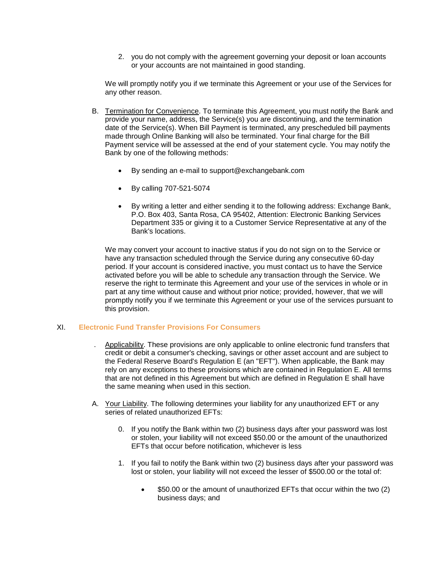2. you do not comply with the agreement governing your deposit or loan accounts or your accounts are not maintained in good standing.

We will promptly notify you if we terminate this Agreement or your use of the Services for any other reason.

- B. Termination for Convenience. To terminate this Agreement, you must notify the Bank and provide your name, address, the Service(s) you are discontinuing, and the termination date of the Service(s). When Bill Payment is terminated, any prescheduled bill payments made through Online Banking will also be terminated. Your final charge for the Bill Payment service will be assessed at the end of your statement cycle. You may notify the Bank by one of the following methods:
	- By sending an e-mail to support@exchangebank.com
	- By calling 707-521-5074
	- By writing a letter and either sending it to the following address: Exchange Bank, P.O. Box 403, Santa Rosa, CA 95402, Attention: Electronic Banking Services Department 335 or giving it to a Customer Service Representative at any of the Bank's locations.

We may convert your account to inactive status if you do not sign on to the Service or have any transaction scheduled through the Service during any consecutive 60-day period. If your account is considered inactive, you must contact us to have the Service activated before you will be able to schedule any transaction through the Service. We reserve the right to terminate this Agreement and your use of the services in whole or in part at any time without cause and without prior notice; provided, however, that we will promptly notify you if we terminate this Agreement or your use of the services pursuant to this provision.

## XI. **Electronic Fund Transfer Provisions For Consumers**

- . Applicability. These provisions are only applicable to online electronic fund transfers that credit or debit a consumer's checking, savings or other asset account and are subject to the Federal Reserve Board's Regulation E (an "EFT"). When applicable, the Bank may rely on any exceptions to these provisions which are contained in Regulation E. All terms that are not defined in this Agreement but which are defined in Regulation E shall have the same meaning when used in this section.
- A. Your Liability. The following determines your liability for any unauthorized EFT or any series of related unauthorized EFTs:
	- 0. If you notify the Bank within two (2) business days after your password was lost or stolen, your liability will not exceed \$50.00 or the amount of the unauthorized EFTs that occur before notification, whichever is less
	- 1. If you fail to notify the Bank within two (2) business days after your password was lost or stolen, your liability will not exceed the lesser of \$500.00 or the total of:
		- \$50.00 or the amount of unauthorized EFTs that occur within the two (2) business days; and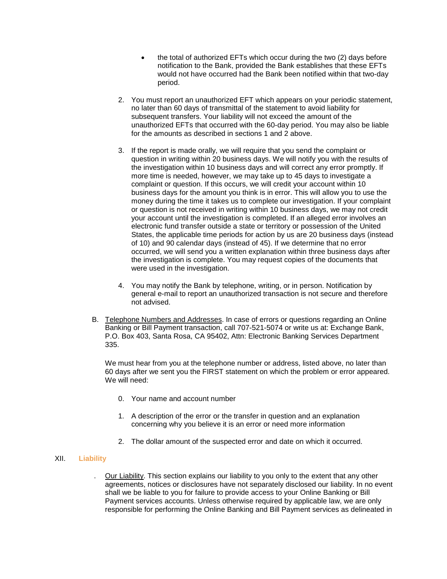- the total of authorized EFTs which occur during the two (2) days before notification to the Bank, provided the Bank establishes that these EFTs would not have occurred had the Bank been notified within that two-day period.
- 2. You must report an unauthorized EFT which appears on your periodic statement, no later than 60 days of transmittal of the statement to avoid liability for subsequent transfers. Your liability will not exceed the amount of the unauthorized EFTs that occurred with the 60-day period. You may also be liable for the amounts as described in sections 1 and 2 above.
- 3. If the report is made orally, we will require that you send the complaint or question in writing within 20 business days. We will notify you with the results of the investigation within 10 business days and will correct any error promptly. If more time is needed, however, we may take up to 45 days to investigate a complaint or question. If this occurs, we will credit your account within 10 business days for the amount you think is in error. This will allow you to use the money during the time it takes us to complete our investigation. If your complaint or question is not received in writing within 10 business days, we may not credit your account until the investigation is completed. If an alleged error involves an electronic fund transfer outside a state or territory or possession of the United States, the applicable time periods for action by us are 20 business days (instead of 10) and 90 calendar days (instead of 45). If we determine that no error occurred, we will send you a written explanation within three business days after the investigation is complete. You may request copies of the documents that were used in the investigation.
- 4. You may notify the Bank by telephone, writing, or in person. Notification by general e-mail to report an unauthorized transaction is not secure and therefore not advised.
- B. Telephone Numbers and Addresses. In case of errors or questions regarding an Online Banking or Bill Payment transaction, call 707-521-5074 or write us at: Exchange Bank, P.O. Box 403, Santa Rosa, CA 95402, Attn: Electronic Banking Services Department 335.

We must hear from you at the telephone number or address, listed above, no later than 60 days after we sent you the FIRST statement on which the problem or error appeared. We will need:

- 0. Your name and account number
- 1. A description of the error or the transfer in question and an explanation concerning why you believe it is an error or need more information
- 2. The dollar amount of the suspected error and date on which it occurred.

## XII. **Liability**

. Our Liability. This section explains our liability to you only to the extent that any other agreements, notices or disclosures have not separately disclosed our liability. In no event shall we be liable to you for failure to provide access to your Online Banking or Bill Payment services accounts. Unless otherwise required by applicable law, we are only responsible for performing the Online Banking and Bill Payment services as delineated in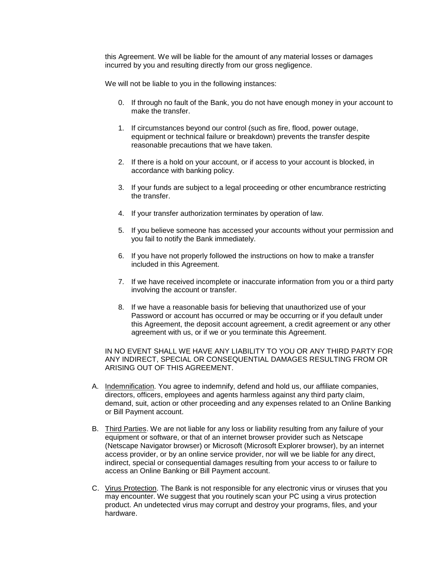this Agreement. We will be liable for the amount of any material losses or damages incurred by you and resulting directly from our gross negligence.

We will not be liable to you in the following instances:

- 0. If through no fault of the Bank, you do not have enough money in your account to make the transfer.
- 1. If circumstances beyond our control (such as fire, flood, power outage, equipment or technical failure or breakdown) prevents the transfer despite reasonable precautions that we have taken.
- 2. If there is a hold on your account, or if access to your account is blocked, in accordance with banking policy.
- 3. If your funds are subject to a legal proceeding or other encumbrance restricting the transfer.
- 4. If your transfer authorization terminates by operation of law.
- 5. If you believe someone has accessed your accounts without your permission and you fail to notify the Bank immediately.
- 6. If you have not properly followed the instructions on how to make a transfer included in this Agreement.
- 7. If we have received incomplete or inaccurate information from you or a third party involving the account or transfer.
- 8. If we have a reasonable basis for believing that unauthorized use of your Password or account has occurred or may be occurring or if you default under this Agreement, the deposit account agreement, a credit agreement or any other agreement with us, or if we or you terminate this Agreement.

IN NO EVENT SHALL WE HAVE ANY LIABILITY TO YOU OR ANY THIRD PARTY FOR ANY INDIRECT, SPECIAL OR CONSEQUENTIAL DAMAGES RESULTING FROM OR ARISING OUT OF THIS AGREEMENT.

- A. Indemnification. You agree to indemnify, defend and hold us, our affiliate companies, directors, officers, employees and agents harmless against any third party claim, demand, suit, action or other proceeding and any expenses related to an Online Banking or Bill Payment account.
- B. Third Parties. We are not liable for any loss or liability resulting from any failure of your equipment or software, or that of an internet browser provider such as Netscape (Netscape Navigator browser) or Microsoft (Microsoft Explorer browser), by an internet access provider, or by an online service provider, nor will we be liable for any direct, indirect, special or consequential damages resulting from your access to or failure to access an Online Banking or Bill Payment account.
- C. Virus Protection. The Bank is not responsible for any electronic virus or viruses that you may encounter. We suggest that you routinely scan your PC using a virus protection product. An undetected virus may corrupt and destroy your programs, files, and your hardware.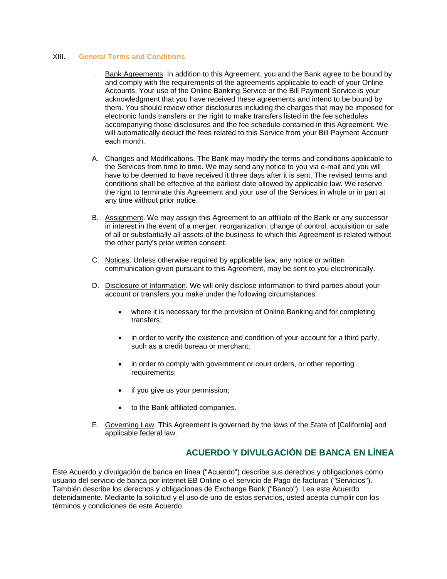## XIII. **General Terms and Conditions**

- Bank Agreements. In addition to this Agreement, you and the Bank agree to be bound by and comply with the requirements of the agreements applicable to each of your Online Accounts. Your use of the Online Banking Service or the Bill Payment Service is your acknowledgment that you have received these agreements and intend to be bound by them. You should review other disclosures including the charges that may be imposed for electronic funds transfers or the right to make transfers listed in the fee schedules accompanying those disclosures and the fee schedule contained in this Agreement. We will automatically deduct the fees related to this Service from your Bill Payment Account each month.
- A. Changes and Modifications. The Bank may modify the terms and conditions applicable to the Services from time to time. We may send any notice to you via e-mail and you will have to be deemed to have received it three days after it is sent. The revised terms and conditions shall be effective at the earliest date allowed by applicable law. We reserve the right to terminate this Agreement and your use of the Services in whole or in part at any time without prior notice.
- B. Assignment. We may assign this Agreement to an affiliate of the Bank or any successor in interest in the event of a merger, reorganization, change of control, acquisition or sale of all or substantially all assets of the business to which this Agreement is related without the other party's prior written consent.
- C. Notices. Unless otherwise required by applicable law, any notice or written communication given pursuant to this Agreement, may be sent to you electronically.
- D. Disclosure of Information. We will only disclose information to third parties about your account or transfers you make under the following circumstances:
	- where it is necessary for the provision of Online Banking and for completing transfers;
	- in order to verify the existence and condition of your account for a third party, such as a credit bureau or merchant;
	- in order to comply with government or court orders, or other reporting requirements;
	- if you give us your permission;
	- to the Bank affiliated companies.
- E. Governing Law. This Agreement is governed by the laws of the State of [California] and applicable federal law.

# **ACUERDO Y DIVULGACIÓN DE BANCA EN LÍNEA**

Este Acuerdo y divulgación de banca en línea ("Acuerdo") describe sus derechos y obligaciones como usuario del servicio de banca por internet EB Online o el servicio de Pago de facturas ("Servicios"). También describe los derechos y obligaciones de Exchange Bank ("Banco"). Lea este Acuerdo detenidamente. Mediante la solicitud y el uso de uno de estos servicios, usted acepta cumplir con los términos y condiciones de este Acuerdo.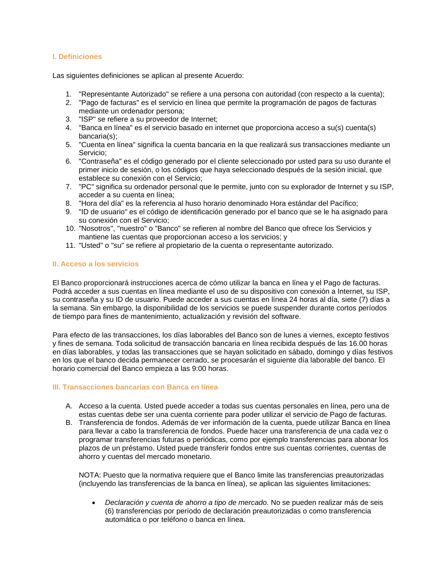# **I. Definiciones**

Las siguientes definiciones se aplican al presente Acuerdo:

- 1. "Representante Autorizado" se refiere a una persona con autoridad (con respecto a la cuenta);
- 2. "Pago de facturas" es el servicio en línea que permite la programación de pagos de facturas mediante un ordenador persona;
- 3. "ISP" se refiere a su proveedor de Internet;
- 4. "Banca en línea" es el servicio basado en internet que proporciona acceso a su(s) cuenta(s) bancaria(s);
- 5. "Cuenta en línea" significa la cuenta bancaria en la que realizará sus transacciones mediante un Servicio;
- 6. "Contraseña" es el código generado por el cliente seleccionado por usted para su uso durante el primer inicio de sesión, o los códigos que haya seleccionado después de la sesión inicial, que establece su conexión con el Servicio;
- 7. "PC" significa su ordenador personal que le permite, junto con su explorador de Internet y su ISP, acceder a su cuenta en línea;
- 8. "Hora del día" es la referencia al huso horario denominado Hora estándar del Pacífico;
- 9. "ID de usuario" es el código de identificación generado por el banco que se le ha asignado para su conexión con el Servicio;
- 10. "Nosotros", "nuestro" o "Banco" se refieren al nombre del Banco que ofrece los Servicios y mantiene las cuentas que proporcionan acceso a los servicios; y
- 11. "Usted" o "su" se refiere al propietario de la cuenta o representante autorizado.

## **II. Acceso a los servicios**

El Banco proporcionará instrucciones acerca de cómo utilizar la banca en línea y el Pago de facturas. Podrá acceder a sus cuentas en línea mediante el uso de su dispositivo con conexión a Internet, su ISP, su contraseña y su ID de usuario. Puede acceder a sus cuentas en línea 24 horas al día, siete (7) días a la semana. Sin embargo, la disponibilidad de los servicios se puede suspender durante cortos períodos de tiempo para fines de mantenimiento, actualización y revisión del software.

Para efecto de las transacciones, los días laborables del Banco son de lunes a viernes, excepto festivos y fines de semana. Toda solicitud de transacción bancaria en línea recibida después de las 16.00 horas en días laborables, y todas las transacciones que se hayan solicitado en sábado, domingo y días festivos en los que el banco decida permanecer cerrado, se procesarán el siguiente día laborable del banco. El horario comercial del Banco empieza a las 9:00 horas.

## **III. Transacciones bancarias con Banca en línea**

- A. Acceso a la cuenta. Usted puede acceder a todas sus cuentas personales en línea, pero una de estas cuentas debe ser una cuenta corriente para poder utilizar el servicio de Pago de facturas.
- B. Transferencia de fondos. Además de ver información de la cuenta, puede utilizar Banca en línea para llevar a cabo la transferencia de fondos. Puede hacer una transferencia de una cada vez o programar transferencias futuras o periódicas, como por ejemplo transferencias para abonar los plazos de un préstamo. Usted puede transferir fondos entre sus cuentas corrientes, cuentas de ahorro y cuentas del mercado monetario.

NOTA: Puesto que la normativa requiere que el Banco limite las transferencias preautorizadas (incluyendo las transferencias de la banca en línea), se aplican las siguientes limitaciones:

• *Declaración y cuenta de ahorro a tipo de mercado.* No se pueden realizar más de seis (6) transferencias por período de declaración preautorizadas o como transferencia automática o por teléfono o banca en línea.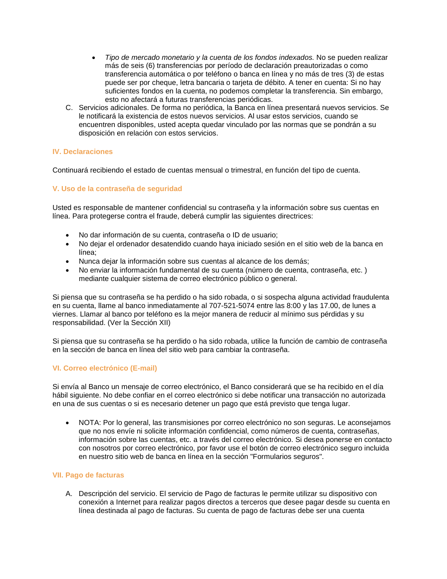- *Tipo de mercado monetario y la cuenta de los fondos indexados.* No se pueden realizar más de seis (6) transferencias por período de declaración preautorizadas o como transferencia automática o por teléfono o banca en línea y no más de tres (3) de estas puede ser por cheque, letra bancaria o tarjeta de débito. A tener en cuenta: Si no hay suficientes fondos en la cuenta, no podemos completar la transferencia. Sin embargo, esto no afectará a futuras transferencias periódicas.
- C. Servicios adicionales. De forma no periódica, la Banca en línea presentará nuevos servicios. Se le notificará la existencia de estos nuevos servicios. Al usar estos servicios, cuando se encuentren disponibles, usted acepta quedar vinculado por las normas que se pondrán a su disposición en relación con estos servicios.

## **IV. Declaraciones**

Continuará recibiendo el estado de cuentas mensual o trimestral, en función del tipo de cuenta.

## **V. Uso de la contraseña de seguridad**

Usted es responsable de mantener confidencial su contraseña y la información sobre sus cuentas en línea. Para protegerse contra el fraude, deberá cumplir las siguientes directrices:

- No dar información de su cuenta, contraseña o ID de usuario;
- No dejar el ordenador desatendido cuando haya iniciado sesión en el sitio web de la banca en línea;
- Nunca dejar la información sobre sus cuentas al alcance de los demás;
- No enviar la información fundamental de su cuenta (número de cuenta, contraseña, etc. ) mediante cualquier sistema de correo electrónico público o general.

Si piensa que su contraseña se ha perdido o ha sido robada, o si sospecha alguna actividad fraudulenta en su cuenta, llame al banco inmediatamente al 707-521-5074 entre las 8:00 y las 17.00, de lunes a viernes. Llamar al banco por teléfono es la mejor manera de reducir al mínimo sus pérdidas y su responsabilidad. (Ver la Sección XII)

Si piensa que su contraseña se ha perdido o ha sido robada, utilice la función de cambio de contraseña en la sección de banca en línea del sitio web para cambiar la contraseña.

## **VI. Correo electrónico (E-mail)**

Si envía al Banco un mensaje de correo electrónico, el Banco considerará que se ha recibido en el día hábil siguiente. No debe confiar en el correo electrónico si debe notificar una transacción no autorizada en una de sus cuentas o si es necesario detener un pago que está previsto que tenga lugar.

• NOTA: Por lo general, las transmisiones por correo electrónico no son seguras. Le aconsejamos que no nos envíe ni solicite información confidencial, como números de cuenta, contraseñas, información sobre las cuentas, etc. a través del correo electrónico. Si desea ponerse en contacto con nosotros por correo electrónico, por favor use el botón de correo electrónico seguro incluida en nuestro sitio web de banca en línea en la sección "Formularios seguros".

## **VII. Pago de facturas**

A. Descripción del servicio. El servicio de Pago de facturas le permite utilizar su dispositivo con conexión a Internet para realizar pagos directos a terceros que desee pagar desde su cuenta en línea destinada al pago de facturas. Su cuenta de pago de facturas debe ser una cuenta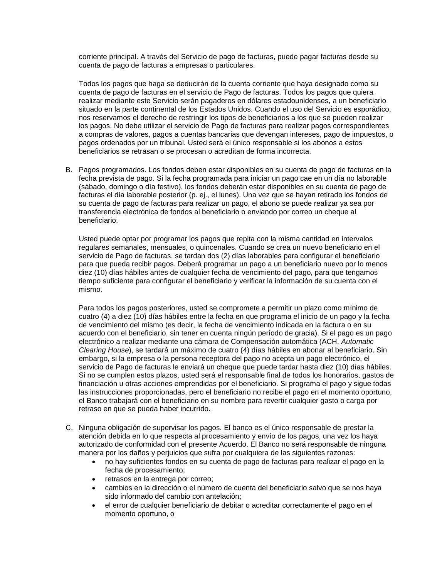corriente principal. A través del Servicio de pago de facturas, puede pagar facturas desde su cuenta de pago de facturas a empresas o particulares.

Todos los pagos que haga se deducirán de la cuenta corriente que haya designado como su cuenta de pago de facturas en el servicio de Pago de facturas. Todos los pagos que quiera realizar mediante este Servicio serán pagaderos en dólares estadounidenses, a un beneficiario situado en la parte continental de los Estados Unidos. Cuando el uso del Servicio es esporádico, nos reservamos el derecho de restringir los tipos de beneficiarios a los que se pueden realizar los pagos. No debe utilizar el servicio de Pago de facturas para realizar pagos correspondientes a compras de valores, pagos a cuentas bancarias que devengan intereses, pago de impuestos, o pagos ordenados por un tribunal. Usted será el único responsable si los abonos a estos beneficiarios se retrasan o se procesan o acreditan de forma incorrecta.

B. Pagos programados. Los fondos deben estar disponibles en su cuenta de pago de facturas en la fecha prevista de pago. Si la fecha programada para iniciar un pago cae en un día no laborable (sábado, domingo o día festivo), los fondos deberán estar disponibles en su cuenta de pago de facturas el día laborable posterior (p. ej., el lunes). Una vez que se hayan retirado los fondos de su cuenta de pago de facturas para realizar un pago, el abono se puede realizar ya sea por transferencia electrónica de fondos al beneficiario o enviando por correo un cheque al beneficiario.

Usted puede optar por programar los pagos que repita con la misma cantidad en intervalos regulares semanales, mensuales, o quincenales. Cuando se crea un nuevo beneficiario en el servicio de Pago de facturas, se tardan dos (2) días laborables para configurar el beneficiario para que pueda recibir pagos. Deberá programar un pago a un beneficiario nuevo por lo menos diez (10) días hábiles antes de cualquier fecha de vencimiento del pago, para que tengamos tiempo suficiente para configurar el beneficiario y verificar la información de su cuenta con el mismo.

Para todos los pagos posteriores, usted se compromete a permitir un plazo como mínimo de cuatro (4) a diez (10) días hábiles entre la fecha en que programa el inicio de un pago y la fecha de vencimiento del mismo (es decir, la fecha de vencimiento indicada en la factura o en su acuerdo con el beneficiario, sin tener en cuenta ningún período de gracia). Si el pago es un pago electrónico a realizar mediante una cámara de Compensación automática (ACH, *Automatic Clearing House*), se tardará un máximo de cuatro (4) días hábiles en abonar al beneficiario. Sin embargo, si la empresa o la persona receptora del pago no acepta un pago electrónico, el servicio de Pago de facturas le enviará un cheque que puede tardar hasta diez (10) días hábiles. Si no se cumplen estos plazos, usted será el responsable final de todos los honorarios, gastos de financiación u otras acciones emprendidas por el beneficiario. Si programa el pago y sigue todas las instrucciones proporcionadas, pero el beneficiario no recibe el pago en el momento oportuno, el Banco trabajará con el beneficiario en su nombre para revertir cualquier gasto o carga por retraso en que se pueda haber incurrido.

- C. Ninguna obligación de supervisar los pagos. El banco es el único responsable de prestar la atención debida en lo que respecta al procesamiento y envío de los pagos, una vez los haya autorizado de conformidad con el presente Acuerdo. El Banco no será responsable de ninguna manera por los daños y perjuicios que sufra por cualquiera de las siguientes razones:
	- no hay suficientes fondos en su cuenta de pago de facturas para realizar el pago en la fecha de procesamiento;
	- retrasos en la entrega por correo;
	- cambios en la dirección o el número de cuenta del beneficiario salvo que se nos haya sido informado del cambio con antelación;
	- el error de cualquier beneficiario de debitar o acreditar correctamente el pago en el momento oportuno, o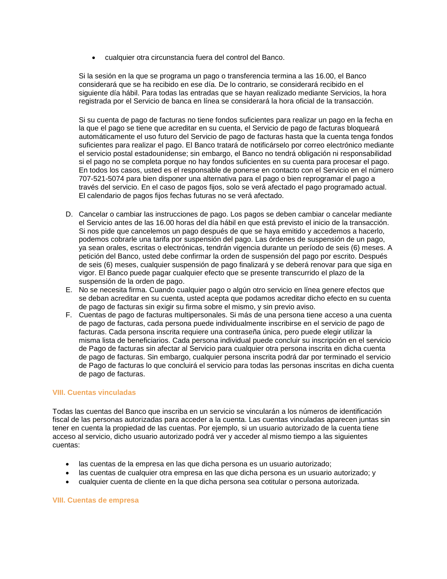• cualquier otra circunstancia fuera del control del Banco.

Si la sesión en la que se programa un pago o transferencia termina a las 16.00, el Banco considerará que se ha recibido en ese día. De lo contrario, se considerará recibido en el siguiente día hábil. Para todas las entradas que se hayan realizado mediante Servicios, la hora registrada por el Servicio de banca en línea se considerará la hora oficial de la transacción.

Si su cuenta de pago de facturas no tiene fondos suficientes para realizar un pago en la fecha en la que el pago se tiene que acreditar en su cuenta, el Servicio de pago de facturas bloqueará automáticamente el uso futuro del Servicio de pago de facturas hasta que la cuenta tenga fondos suficientes para realizar el pago. El Banco tratará de notificárselo por correo electrónico mediante el servicio postal estadounidense; sin embargo, el Banco no tendrá obligación ni responsabilidad si el pago no se completa porque no hay fondos suficientes en su cuenta para procesar el pago. En todos los casos, usted es el responsable de ponerse en contacto con el Servicio en el número 707-521-5074 para bien disponer una alternativa para el pago o bien reprogramar el pago a través del servicio. En el caso de pagos fijos, solo se verá afectado el pago programado actual. El calendario de pagos fijos fechas futuras no se verá afectado.

- D. Cancelar o cambiar las instrucciones de pago. Los pagos se deben cambiar o cancelar mediante el Servicio antes de las 16.00 horas del día hábil en que está previsto el inicio de la transacción. Si nos pide que cancelemos un pago después de que se haya emitido y accedemos a hacerlo, podemos cobrarle una tarifa por suspensión del pago. Las órdenes de suspensión de un pago, ya sean orales, escritas o electrónicas, tendrán vigencia durante un período de seis (6) meses. A petición del Banco, usted debe confirmar la orden de suspensión del pago por escrito. Después de seis (6) meses, cualquier suspensión de pago finalizará y se deberá renovar para que siga en vigor. El Banco puede pagar cualquier efecto que se presente transcurrido el plazo de la suspensión de la orden de pago.
- E. No se necesita firma. Cuando cualquier pago o algún otro servicio en línea genere efectos que se deban acreditar en su cuenta, usted acepta que podamos acreditar dicho efecto en su cuenta de pago de facturas sin exigir su firma sobre el mismo, y sin previo aviso.
- F. Cuentas de pago de facturas multipersonales. Si más de una persona tiene acceso a una cuenta de pago de facturas, cada persona puede individualmente inscribirse en el servicio de pago de facturas. Cada persona inscrita requiere una contraseña única, pero puede elegir utilizar la misma lista de beneficiarios. Cada persona individual puede concluir su inscripción en el servicio de Pago de facturas sin afectar al Servicio para cualquier otra persona inscrita en dicha cuenta de pago de facturas. Sin embargo, cualquier persona inscrita podrá dar por terminado el servicio de Pago de facturas lo que concluirá el servicio para todas las personas inscritas en dicha cuenta de pago de facturas.

## **VIII. Cuentas vinculadas**

Todas las cuentas del Banco que inscriba en un servicio se vincularán a los números de identificación fiscal de las personas autorizadas para acceder a la cuenta. Las cuentas vinculadas aparecen juntas sin tener en cuenta la propiedad de las cuentas. Por ejemplo, si un usuario autorizado de la cuenta tiene acceso al servicio, dicho usuario autorizado podrá ver y acceder al mismo tiempo a las siguientes cuentas:

- las cuentas de la empresa en las que dicha persona es un usuario autorizado;
- las cuentas de cualquier otra empresa en las que dicha persona es un usuario autorizado; y
- cualquier cuenta de cliente en la que dicha persona sea cotitular o persona autorizada.

#### **VIII. Cuentas de empresa**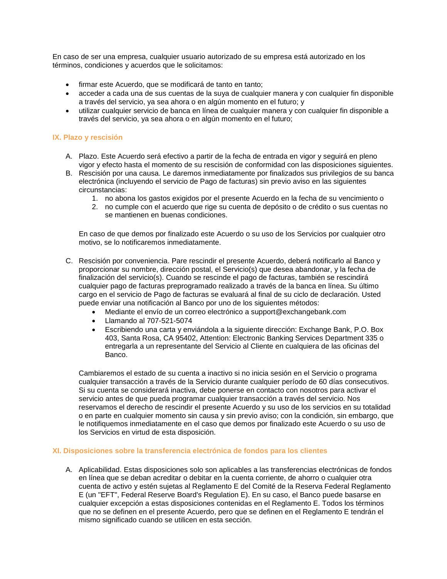En caso de ser una empresa, cualquier usuario autorizado de su empresa está autorizado en los términos, condiciones y acuerdos que le solicitamos:

- firmar este Acuerdo, que se modificará de tanto en tanto;
- acceder a cada una de sus cuentas de la suya de cualquier manera y con cualquier fin disponible a través del servicio, ya sea ahora o en algún momento en el futuro; y
- utilizar cualquier servicio de banca en línea de cualquier manera y con cualquier fin disponible a través del servicio, ya sea ahora o en algún momento en el futuro;

## **IX. Plazo y rescisión**

- A. Plazo. Este Acuerdo será efectivo a partir de la fecha de entrada en vigor y seguirá en pleno vigor y efecto hasta el momento de su rescisión de conformidad con las disposiciones siguientes.
- B. Rescisión por una causa. Le daremos inmediatamente por finalizados sus privilegios de su banca electrónica (incluyendo el servicio de Pago de facturas) sin previo aviso en las siguientes circunstancias:
	- 1. no abona los gastos exigidos por el presente Acuerdo en la fecha de su vencimiento o
	- 2. no cumple con el acuerdo que rige su cuenta de depósito o de crédito o sus cuentas no se mantienen en buenas condiciones.

En caso de que demos por finalizado este Acuerdo o su uso de los Servicios por cualquier otro motivo, se lo notificaremos inmediatamente.

- C. Rescisión por conveniencia. Pare rescindir el presente Acuerdo, deberá notificarlo al Banco y proporcionar su nombre, dirección postal, el Servicio(s) que desea abandonar, y la fecha de finalización del servicio(s). Cuando se rescinde el pago de facturas, también se rescindirá cualquier pago de facturas preprogramado realizado a través de la banca en línea. Su último cargo en el servicio de Pago de facturas se evaluará al final de su ciclo de declaración. Usted puede enviar una notificación al Banco por uno de los siguientes métodos:
	- Mediante el envío de un correo electrónico a support@exchangebank.com
	- Llamando al 707-521-5074
	- Escribiendo una carta y enviándola a la siguiente dirección: Exchange Bank, P.O. Box 403, Santa Rosa, CA 95402, Attention: Electronic Banking Services Department 335 o entregarla a un representante del Servicio al Cliente en cualquiera de las oficinas del Banco.

Cambiaremos el estado de su cuenta a inactivo si no inicia sesión en el Servicio o programa cualquier transacción a través de la Servicio durante cualquier período de 60 días consecutivos. Si su cuenta se considerará inactiva, debe ponerse en contacto con nosotros para activar el servicio antes de que pueda programar cualquier transacción a través del servicio. Nos reservamos el derecho de rescindir el presente Acuerdo y su uso de los servicios en su totalidad o en parte en cualquier momento sin causa y sin previo aviso; con la condición, sin embargo, que le notifiquemos inmediatamente en el caso que demos por finalizado este Acuerdo o su uso de los Servicios en virtud de esta disposición.

## **XI. Disposiciones sobre la transferencia electrónica de fondos para los clientes**

A. Aplicabilidad. Estas disposiciones solo son aplicables a las transferencias electrónicas de fondos en línea que se deban acreditar o debitar en la cuenta corriente, de ahorro o cualquier otra cuenta de activo y estén sujetas al Reglamento E del Comité de la Reserva Federal Reglamento E (un "EFT", Federal Reserve Board's Regulation E). En su caso, el Banco puede basarse en cualquier excepción a estas disposiciones contenidas en el Reglamento E. Todos los términos que no se definen en el presente Acuerdo, pero que se definen en el Reglamento E tendrán el mismo significado cuando se utilicen en esta sección.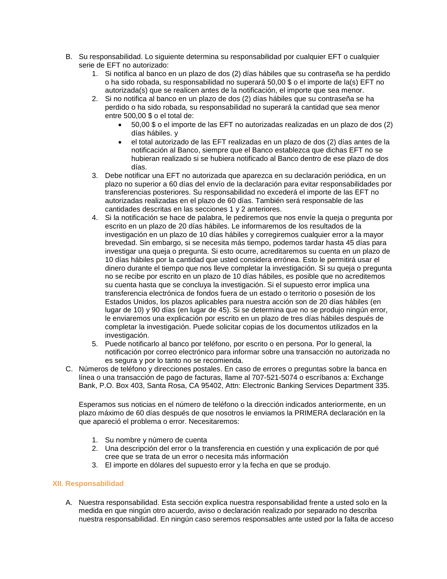- B. Su responsabilidad. Lo siguiente determina su responsabilidad por cualquier EFT o cualquier serie de EFT no autorizado:
	- 1. Si notifica al banco en un plazo de dos (2) días hábiles que su contraseña se ha perdido o ha sido robada, su responsabilidad no superará 50,00 \$ o el importe de la(s) EFT no autorizada(s) que se realicen antes de la notificación, el importe que sea menor.
	- 2. Si no notifica al banco en un plazo de dos (2) días hábiles que su contraseña se ha perdido o ha sido robada, su responsabilidad no superará la cantidad que sea menor entre 500,00 \$ o el total de:
		- 50,00 \$ o el importe de las EFT no autorizadas realizadas en un plazo de dos (2) días hábiles. y
		- el total autorizado de las EFT realizadas en un plazo de dos (2) días antes de la notificación al Banco, siempre que el Banco establezca que dichas EFT no se hubieran realizado si se hubiera notificado al Banco dentro de ese plazo de dos días.
	- 3. Debe notificar una EFT no autorizada que aparezca en su declaración periódica, en un plazo no superior a 60 días del envío de la declaración para evitar responsabilidades por transferencias posteriores. Su responsabilidad no excederá el importe de las EFT no autorizadas realizadas en el plazo de 60 días. También será responsable de las cantidades descritas en las secciones 1 y 2 anteriores.
	- 4. Si la notificación se hace de palabra, le pediremos que nos envíe la queja o pregunta por escrito en un plazo de 20 días hábiles. Le informaremos de los resultados de la investigación en un plazo de 10 días hábiles y corregiremos cualquier error a la mayor brevedad. Sin embargo, si se necesita más tiempo, podemos tardar hasta 45 días para investigar una queja o pregunta. Si esto ocurre, acreditaremos su cuenta en un plazo de 10 días hábiles por la cantidad que usted considera errónea. Esto le permitirá usar el dinero durante el tiempo que nos lleve completar la investigación. Si su queja o pregunta no se recibe por escrito en un plazo de 10 días hábiles, es posible que no acreditemos su cuenta hasta que se concluya la investigación. Si el supuesto error implica una transferencia electrónica de fondos fuera de un estado o territorio o posesión de los Estados Unidos, los plazos aplicables para nuestra acción son de 20 días hábiles (en lugar de 10) y 90 días (en lugar de 45). Si se determina que no se produjo ningún error, le enviaremos una explicación por escrito en un plazo de tres días hábiles después de completar la investigación. Puede solicitar copias de los documentos utilizados en la investigación.
	- 5. Puede notificarlo al banco por teléfono, por escrito o en persona. Por lo general, la notificación por correo electrónico para informar sobre una transacción no autorizada no es segura y por lo tanto no se recomienda.
- C. Números de teléfono y direcciones postales. En caso de errores o preguntas sobre la banca en línea o una transacción de pago de facturas, llame al 707-521-5074 o escríbanos a: Exchange Bank, P.O. Box 403, Santa Rosa, CA 95402, Attn: Electronic Banking Services Department 335.

Esperamos sus noticias en el número de teléfono o la dirección indicados anteriormente, en un plazo máximo de 60 días después de que nosotros le enviamos la PRIMERA declaración en la que apareció el problema o error. Necesitaremos:

- 1. Su nombre y número de cuenta
- 2. Una descripción del error o la transferencia en cuestión y una explicación de por qué cree que se trata de un error o necesita más información
- 3. El importe en dólares del supuesto error y la fecha en que se produjo.

## **XII. Responsabilidad**

A. Nuestra responsabilidad. Esta sección explica nuestra responsabilidad frente a usted solo en la medida en que ningún otro acuerdo, aviso o declaración realizado por separado no describa nuestra responsabilidad. En ningún caso seremos responsables ante usted por la falta de acceso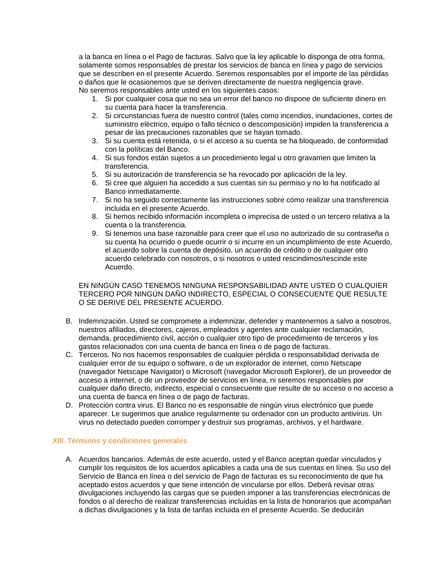a la banca en línea o el Pago de facturas. Salvo que la ley aplicable lo disponga de otra forma, solamente somos responsables de prestar los servicios de banca en línea y pago de servicios que se describen en el presente Acuerdo. Seremos responsables por el importe de las pérdidas o daños que le ocasionemos que se deriven directamente de nuestra negligencia grave. No seremos responsables ante usted en los siguientes casos:

- 1. Si por cualquier cosa que no sea un error del banco no dispone de suficiente dinero en su cuenta para hacer la transferencia.
- 2. Si circunstancias fuera de nuestro control (tales como incendios, inundaciones, cortes de suministro eléctrico, equipo o fallo técnico o descomposición) impiden la transferencia a pesar de las precauciones razonables que se hayan tomado.
- 3. Si su cuenta está retenida, o si el acceso a su cuenta se ha bloqueado, de conformidad con la políticas del Banco.
- 4. Si sus fondos están sujetos a un procedimiento legal u otro gravamen que limiten la transferencia.
- 5. Si su autorización de transferencia se ha revocado por aplicación de la ley.
- 6. Si cree que alguien ha accedido a sus cuentas sin su permiso y no lo ha notificado al Banco inmediatamente.
- 7. Si no ha seguido correctamente las instrucciones sobre cómo realizar una transferencia incluida en el presente Acuerdo.
- 8. Si hemos recibido información incompleta o imprecisa de usted o un tercero relativa a la cuenta o la transferencia.
- 9. Si tenemos una base razonable para creer que el uso no autorizado de su contraseña o su cuenta ha ocurrido o puede ocurrir o si incurre en un incumplimiento de este Acuerdo, el acuerdo sobre la cuenta de depósito, un acuerdo de crédito o de cualquier otro acuerdo celebrado con nosotros, o si nosotros o usted rescindimos/rescinde este Acuerdo.

EN NINGÚN CASO TENEMOS NINGUNA RESPONSABILIDAD ANTE USTED O CUALQUIER TERCERO POR NINGÚN DAÑO INDIRECTO, ESPECIAL O CONSECUENTE QUE RESULTE O SE DERIVE DEL PRESENTE ACUERDO.

- B. Indemnización. Usted se compromete a indemnizar, defender y mantenernos a salvo a nosotros, nuestros afiliados, directores, cajeros, empleados y agentes ante cualquier reclamación, demanda, procedimiento civil, acción o cualquier otro tipo de procedimiento de terceros y los gastos relacionados con una cuenta de banca en línea o de pago de facturas.
- C. Terceros. No nos hacemos responsables de cualquier pérdida o responsabilidad derivada de cualquier error de su equipo o software, o de un explorador de internet, como Netscape (navegador Netscape Navigator) o Microsoft (navegador Microsoft Explorer), de un proveedor de acceso a internet, o de un proveedor de servicios en línea, ni seremos responsables por cualquier daño directo, indirecto, especial o consecuente que resulte de su acceso o no acceso a una cuenta de banca en línea o de pago de facturas.
- D. Protección contra virus. El Banco no es responsable de ningún virus electrónico que puede aparecer. Le sugerimos que analice regularmente su ordenador con un producto antivirus. Un virus no detectado pueden corromper y destruir sus programas, archivos, y el hardware.

# **XIII. Términos y condiciones generales**

A. Acuerdos bancarios. Además de este acuerdo, usted y el Banco aceptan quedar vinculados y cumplir los requisitos de los acuerdos aplicables a cada una de sus cuentas en línea. Su uso del Servicio de Banca en línea o del servicio de Pago de facturas es su reconocimiento de que ha aceptado estos acuerdos y que tiene intención de vincularse por ellos. Deberá revisar otras divulgaciones incluyendo las cargas que se pueden imponer a las transferencias electrónicas de fondos o al derecho de realizar transferencias incluidas en la lista de honorarios que acompañan a dichas divulgaciones y la lista de tarifas incluida en el presente Acuerdo. Se deducirán